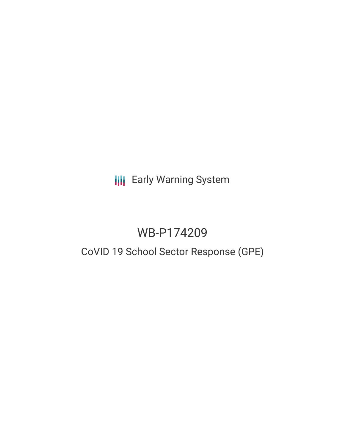# **III** Early Warning System

# WB-P174209

# CoVID 19 School Sector Response (GPE)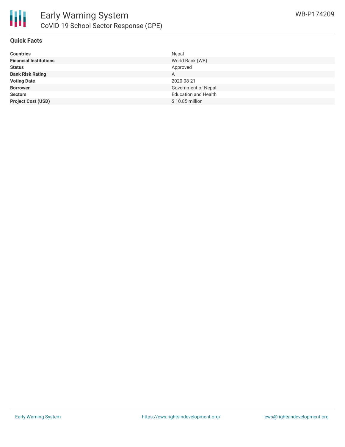

### **Quick Facts**

| <b>Countries</b>              | Nepal                       |
|-------------------------------|-----------------------------|
| <b>Financial Institutions</b> | World Bank (WB)             |
| <b>Status</b>                 | Approved                    |
| <b>Bank Risk Rating</b>       | A                           |
| <b>Voting Date</b>            | 2020-08-21                  |
| <b>Borrower</b>               | Government of Nepal         |
| <b>Sectors</b>                | <b>Education and Health</b> |
| <b>Project Cost (USD)</b>     | $$10.85$ million            |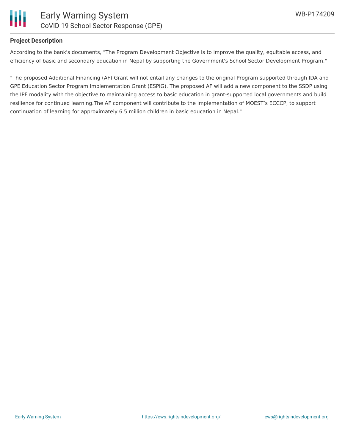

### **Project Description**

According to the bank's documents, "The Program Development Objective is to improve the quality, equitable access, and efficiency of basic and secondary education in Nepal by supporting the Government's School Sector Development Program."

"The proposed Additional Financing (AF) Grant will not entail any changes to the original Program supported through IDA and GPE Education Sector Program Implementation Grant (ESPIG). The proposed AF will add a new component to the SSDP using the IPF modality with the objective to maintaining access to basic education in grant-supported local governments and build resilience for continued learning.The AF component will contribute to the implementation of MOEST's ECCCP, to support continuation of learning for approximately 6.5 million children in basic education in Nepal."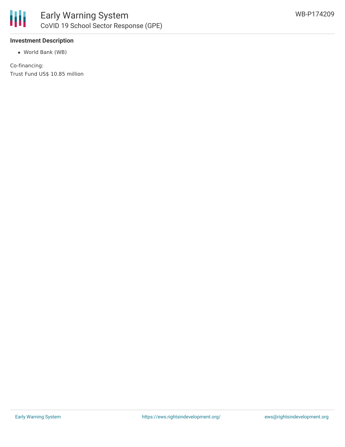

### **Investment Description**

World Bank (WB)

Co-financing: Trust Fund US\$ 10.85 million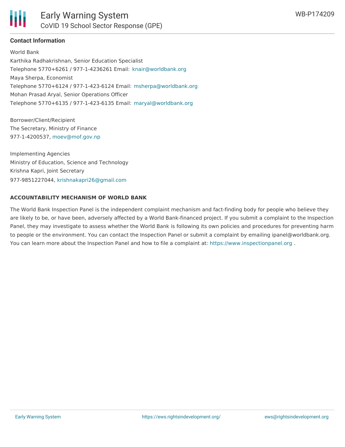

## **Contact Information**

World Bank Karthika Radhakrishnan, Senior Education Specialist Telephone 5770+6261 / 977-1-4236261 Email: [knair@worldbank.org](mailto:knair@worldbank.org) Maya Sherpa, Economist Telephone 5770+6124 / 977-1-423-6124 Email: [msherpa@worldbank.org](mailto:msherpa@worldbank.org) Mohan Prasad Aryal, Senior Operations Officer Telephone 5770+6135 / 977-1-423-6135 Email: [maryal@worldbank.org](mailto:maryal@worldbank.org)

Borrower/Client/Recipient The Secretary, Ministry of Finance 977-1-4200537, [moev@mof.gov.np](mailto:moev@mof.gov.np)

Implementing Agencies Ministry of Education, Science and Technology Krishna Kapri, Joint Secretary 977-9851227044, [krishnakapri26@gmail.com](mailto:krishnakapri26@gmail.com)

### **ACCOUNTABILITY MECHANISM OF WORLD BANK**

The World Bank Inspection Panel is the independent complaint mechanism and fact-finding body for people who believe they are likely to be, or have been, adversely affected by a World Bank-financed project. If you submit a complaint to the Inspection Panel, they may investigate to assess whether the World Bank is following its own policies and procedures for preventing harm to people or the environment. You can contact the Inspection Panel or submit a complaint by emailing ipanel@worldbank.org. You can learn more about the Inspection Panel and how to file a complaint at: <https://www.inspectionpanel.org> .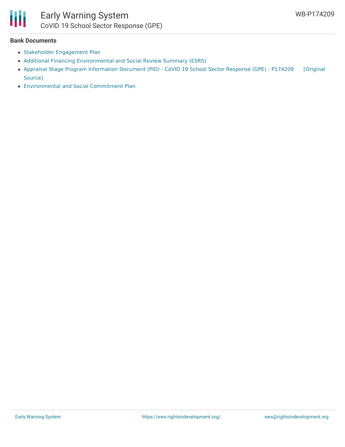

# Early Warning System CoVID 19 School Sector Response (GPE)

#### **Bank Documents**

- Stakeholder [Engagement](http://documents1.worldbank.org/curated/en/244611595557823668/pdf/Additional-Financing-Stakeholder-Engagement-Plan-SEP-CoVID-19-School-Sector-Response-GPE-P174209.pdf) Plan
- Additional Financing [Environmental](http://documents1.worldbank.org/curated/en/380021595557831640/pdf/Additional-Financing-Environmental-and-Social-Review-Summary-ESRS-CoVID-19-School-Sector-Response-GPE-P174209.pdf) and Social Review Summary (ESRS)
- Appraisal Stage Program [Information](https://ewsdata.rightsindevelopment.org/files/documents/09/WB-P174209.pdf) Document (PID) CoVID 19 School Sector Response (GPE) P174209 [Original Source]
- [Environmental](http://documents1.worldbank.org/curated/en/185651595557818766/pdf/Additional-Financing-Environmental-and-Social-Commitment-Plan-ESCP-CoVID-19-School-Sector-Response-GPE-P174209.pdf) and Social Commitment Plan